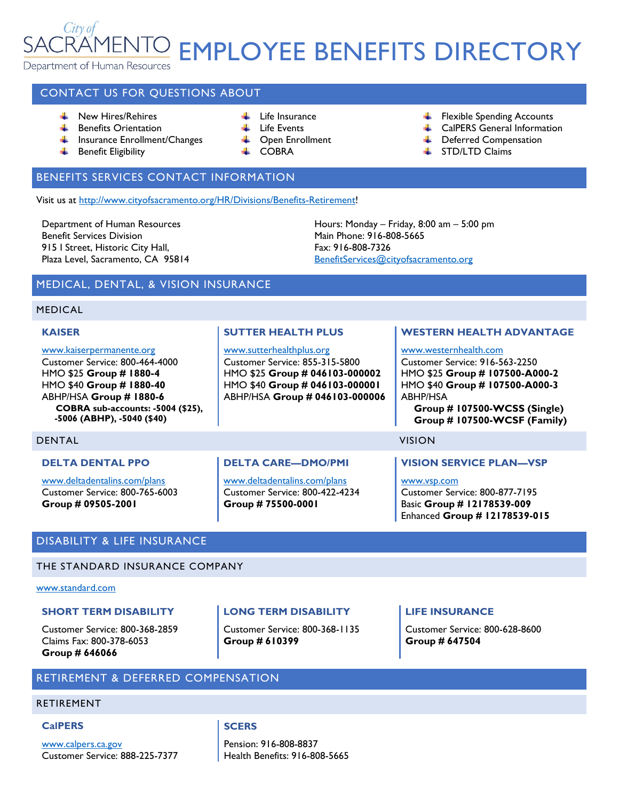# City of **ENTO EMPLOYEE BENEFITS DIRECTORY** Department of Human Resources

## CONTACT US FOR QUESTIONS ABOUT

- **New Hires/Rehires**
- $\perp$  Life Insurance
- **Benefits Orientation**
- **Insurance Enrollment/Changes**
- **Benefit Eligibility**
- $\downarrow$  Life Events
- **↓** Open Enrollment
	- COBRA
- Flexible Spending Accounts
- **L** CalPERS General Information
- **E** Deferred Compensation
- **STD/LTD Claims**

## BENEFITS SERVICES CONTACT INFORMATION

Visit us at [http://www.cityofsacramento.org/HR/Divisions/Benefits-Retirement!](http://www.cityofsacramento.org/HR/Divisions/Benefits-Retirement)

Department of Human Resources Benefit Services Division 915 I Street, Historic City Hall, Plaza Level, Sacramento, CA 95814

Hours: Monday – Friday, 8:00 am – 5:00 pm Main Phone: 916-808-5665 Fax: 916-808-7326 [BenefitServices@cityofsacramento.org](mailto:BenefitServices@cityofsacramento.org)

## MEDICAL, DENTAL, & VISION INSURANCE

### MEDICAL

#### **KAISER**

#### [www.kaiserpermanente.org](http://www.kaiserpermanente.org/)

Customer Service: 800-464-4000 HMO \$25 **Group # 1880-4** HMO \$40 **Group # 1880-40** ABHP/HSA **Group # 1880-6 COBRA sub-accounts: -5004 (\$25), -5006 (ABHP), -5040 (\$40)**

## **SUTTER HEALTH PLUS**

#### [www.sutterhealthplus.org](http://www.sutterhealthplus.org/)

Customer Service: 855-315-5800 HMO \$25 **Group # 046103-000002** HMO \$40 **Group # 046103-000001** ABHP/HSA **Group # 046103-000006**

### **WESTERN HEALTH ADVANTAGE**

### [www.westernhealth.com](http://www.westernhealth.com/)

Customer Service: 916-563-2250 HMO \$25 **Group # 107500-A000-2** HMO \$40 **Group # 107500-A000-3** ABHP/HSA

**Group # 107500-WCSS (Single) Group # 107500-WCSF (Family)**

### DENTAL VISION

## **DELTA DENTAL PPO**

[www.deltadentalins.com/plans](http://www.deltadentalins.com/plans) Customer Service: 800-765-6003 **Group # 09505-2001**

## **DELTA CARE—DMO/PMI**

[www.deltadentalins.com/plans](http://www.deltadentalins.com/plans) Customer Service: 800-422-4234 **Group # 75500-0001**

### **VISION SERVICE PLAN—VSP**

[www.vsp.com](http://www.vsp.com/) Customer Service: 800-877-7195 Basic **Group # 12178539-009** Enhanced **Group # 12178539-015**

## DISABILITY & LIFE INSURANCE

## THE STANDARD INSURANCE COMPANY

### [www.standard.com](http://www.standard.com/)

### **SHORT TERM DISABILITY**

Customer Service: 800-368-2859 Claims Fax: 800-378-6053 **Group # 646066**

## **LONG TERM DISABILITY**

Customer Service: 800-368-1135 **Group # 610399**

### **LIFE INSURANCE**

Customer Service: 800-628-8600 **Group # 647504**

## RETIREMENT & DEFERRED COMPENSATION

#### RETIREMENT

#### **CalPERS**

[www.calpers.ca.gov](http://www.calpers.ca.gov/) Customer Service: 888-225-7377

### **SCERS**

Pension: 916-808-8837 Health Benefits: 916-808-5665